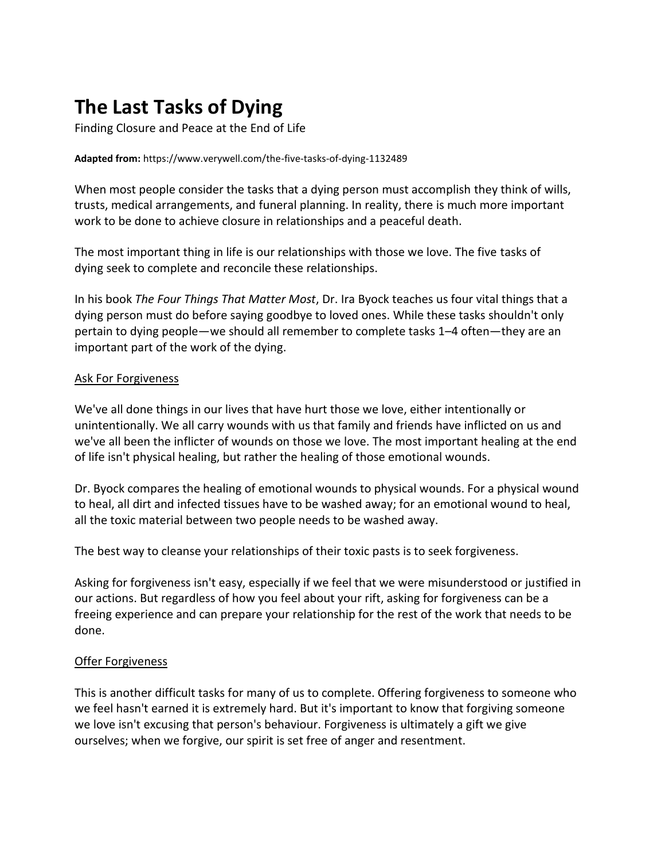# **The Last Tasks of Dying**

Finding Closure and Peace at the End of Life

#### **Adapted from:** https://www.verywell.com/the-five-tasks-of-dying-1132489

When most people consider the tasks that a dying person must accomplish they think of wills, trusts, medical arrangements, and funeral planning. In reality, there is much more important work to be done to achieve closure in relationships and a peaceful death.

The most important thing in life is our relationships with those we love. The five tasks of dying seek to complete and reconcile these relationships.

In his book *The Four Things That Matter Most*, Dr. Ira Byock teaches us four vital things that a dying person must do before saying goodbye to loved ones. While these tasks shouldn't only pertain to dying people—we should all remember to complete tasks 1–4 often—they are an important part of the work of the dying.

#### Ask For Forgiveness

We've all done things in our lives that have hurt those we love, either intentionally or unintentionally. We all carry wounds with us that family and friends have inflicted on us and we've all been the inflicter of wounds on those we love. The most important healing at the end of life isn't physical healing, but rather the healing of those emotional wounds.

Dr. Byock compares the healing of emotional wounds to physical wounds. For a physical wound to heal, all dirt and infected tissues have to be washed away; for an emotional wound to heal, all the toxic material between two people needs to be washed away.

The best way to cleanse your relationships of their toxic pasts is to seek forgiveness.

Asking for forgiveness isn't easy, especially if we feel that we were misunderstood or justified in our actions. But regardless of how you feel about your rift, asking for forgiveness can be a freeing experience and can prepare your relationship for the rest of the work that needs to be done.

### Offer Forgiveness

This is another difficult tasks for many of us to complete. Offering forgiveness to someone who we feel hasn't earned it is extremely hard. But it's important to know that forgiving someone we love isn't excusing that person's behaviour. Forgiveness is ultimately a gift we give ourselves; when we forgive, our spirit is set free of anger and resentment.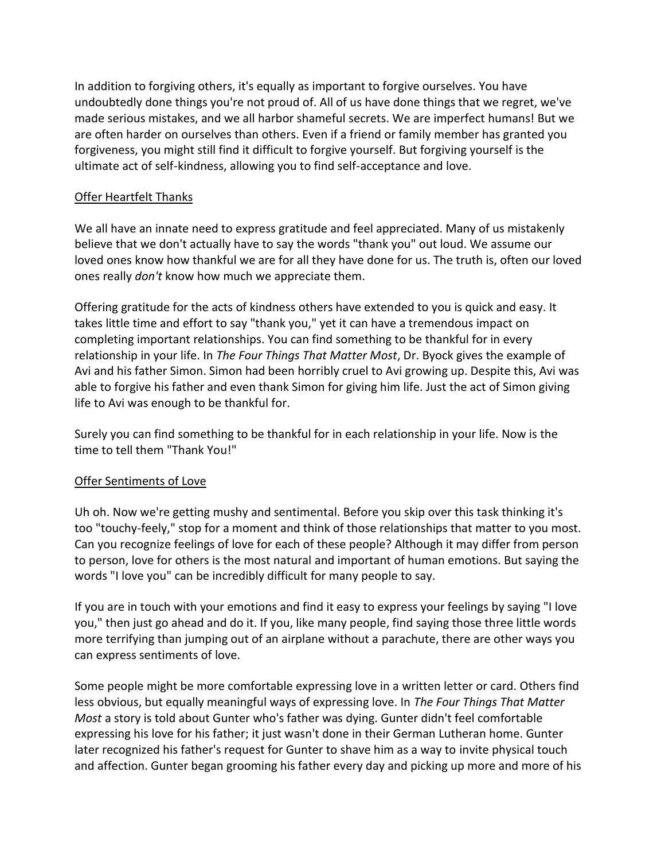In addition to forgiving others, it's equally as important to forgive ourselves. You have undoubtedly done things you're not proud of. All of us have done things that we regret, we've made serious mistakes, and we all harbor shameful secrets. We are imperfect humans! But we are often harder on ourselves than others. Even if a friend or family member has granted you forgiveness, you might still find it difficult to forgive yourself. But forgiving yourself is the ultimate act of self-kindness, allowing you to find self-acceptance and love.

## Offer Heartfelt Thanks

We all have an innate need to express gratitude and feel appreciated. Many of us mistakenly believe that we don't actually have to say the words "thank you" out loud. We assume our loved ones know how thankful we are for all they have done for us. The truth is, often our loved ones really *don't* know how much we appreciate them.

Offering gratitude for the acts of kindness others have extended to you is quick and easy. It takes little time and effort to say "thank you," yet it can have a tremendous impact on completing important relationships. You can find something to be thankful for in every relationship in your life. In *The Four Things That Matter Most*, Dr. Byock gives the example of Avi and his father Simon. Simon had been horribly cruel to Avi growing up. Despite this, Avi was able to forgive his father and even thank Simon for giving him life. Just the act of Simon giving life to Avi was enough to be thankful for.

Surely you can find something to be thankful for in each relationship in your life. Now is the time to tell them "Thank You!"

### Offer Sentiments of Love

Uh oh. Now we're getting mushy and sentimental. Before you skip over this task thinking it's too "touchy-feely," stop for a moment and think of those relationships that matter to you most. Can you recognize feelings of love for each of these people? Although it may differ from person to person, love for others is the most natural and important of human emotions. But saying the words "I love you" can be incredibly difficult for many people to say.

If you are in touch with your emotions and find it easy to express your feelings by saying "I love you," then just go ahead and do it. If you, like many people, find saying those three little words more terrifying than jumping out of an airplane without a parachute, there are other ways you can express sentiments of love.

Some people might be more comfortable expressing love in a written letter or card. Others find less obvious, but equally meaningful ways of expressing love. In *The Four Things That Matter Most* a story is told about Gunter who's father was dying. Gunter didn't feel comfortable expressing his love for his father; it just wasn't done in their German Lutheran home. Gunter later recognized his father's request for Gunter to shave him as a way to invite physical touch and affection. Gunter began grooming his father every day and picking up more and more of his